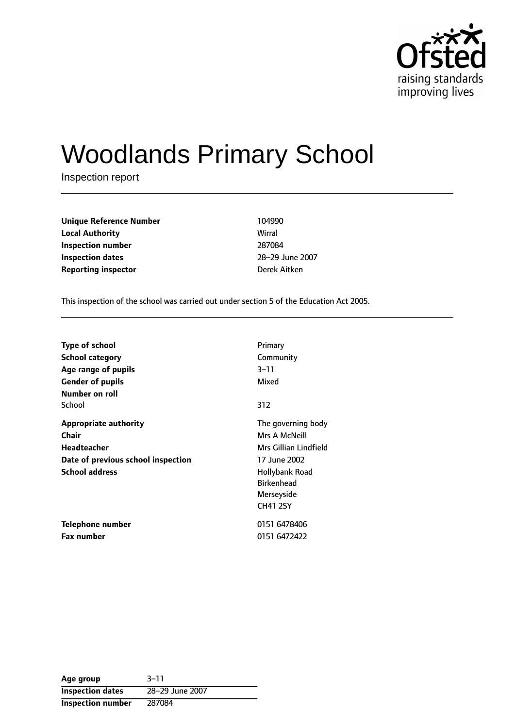

# Woodlands Primary School

Inspection report

**Unique Reference Number** 104990 **Local Authority** Wirral **Inspection number** 287084 **Inspection dates** 28-29 June 2007 **Reporting inspector Derek Aitken** 

This inspection of the school was carried out under section 5 of the Education Act 2005.

| <b>Type of school</b><br>School category<br>Age range of pupils                                                     | Primary<br>Community<br>$3 - 11$<br>Mixed                                                                                                            |
|---------------------------------------------------------------------------------------------------------------------|------------------------------------------------------------------------------------------------------------------------------------------------------|
| <b>Gender of pupils</b><br>Number on roll<br>School                                                                 | 312                                                                                                                                                  |
| <b>Appropriate authority</b><br>Chair<br>Headteacher<br>Date of previous school inspection<br><b>School address</b> | The governing body<br>Mrs A McNeill<br>Mrs Gillian Lindfield<br>17 June 2002<br>Hollybank Road<br><b>Birkenhead</b><br>Merseyside<br><b>CH41 2SY</b> |
| Telephone number<br><b>Fax number</b>                                                                               | 0151 6478406<br>0151 6472422                                                                                                                         |

**Age** group 3-11 **Inspection dates** 28-29 June 2007 **Inspection number** 287084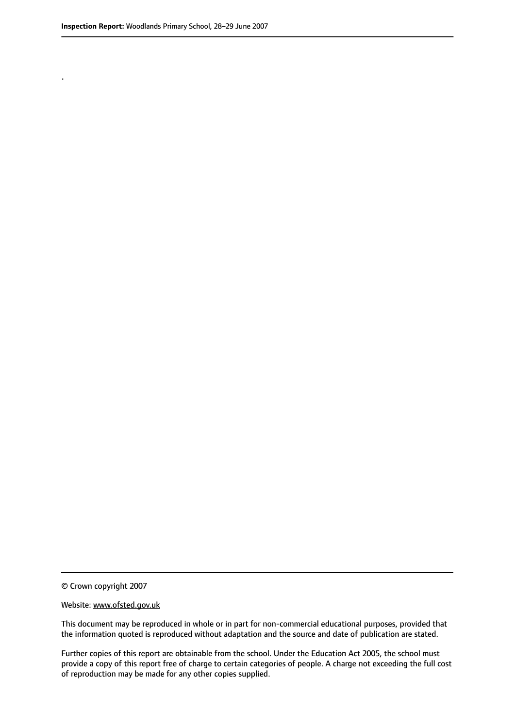.

© Crown copyright 2007

#### Website: www.ofsted.gov.uk

This document may be reproduced in whole or in part for non-commercial educational purposes, provided that the information quoted is reproduced without adaptation and the source and date of publication are stated.

Further copies of this report are obtainable from the school. Under the Education Act 2005, the school must provide a copy of this report free of charge to certain categories of people. A charge not exceeding the full cost of reproduction may be made for any other copies supplied.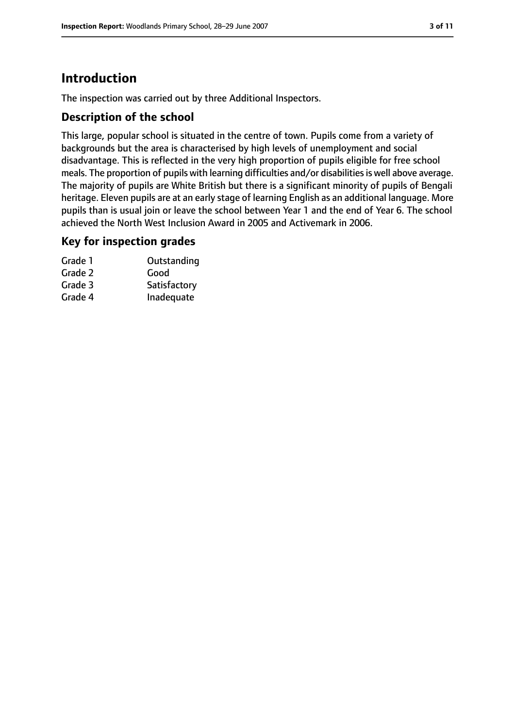# **Introduction**

The inspection was carried out by three Additional Inspectors.

### **Description of the school**

This large, popular school is situated in the centre of town. Pupils come from a variety of backgrounds but the area is characterised by high levels of unemployment and social disadvantage. This is reflected in the very high proportion of pupils eligible for free school meals. The proportion of pupils with learning difficulties and/or disabilities is well above average. The majority of pupils are White British but there is a significant minority of pupils of Bengali heritage. Eleven pupils are at an early stage of learning English as an additional language. More pupils than is usual join or leave the school between Year 1 and the end of Year 6. The school achieved the North West Inclusion Award in 2005 and Activemark in 2006.

#### **Key for inspection grades**

| Grade 1 | Outstanding  |
|---------|--------------|
| Grade 2 | Good         |
| Grade 3 | Satisfactory |
| Grade 4 | Inadequate   |
|         |              |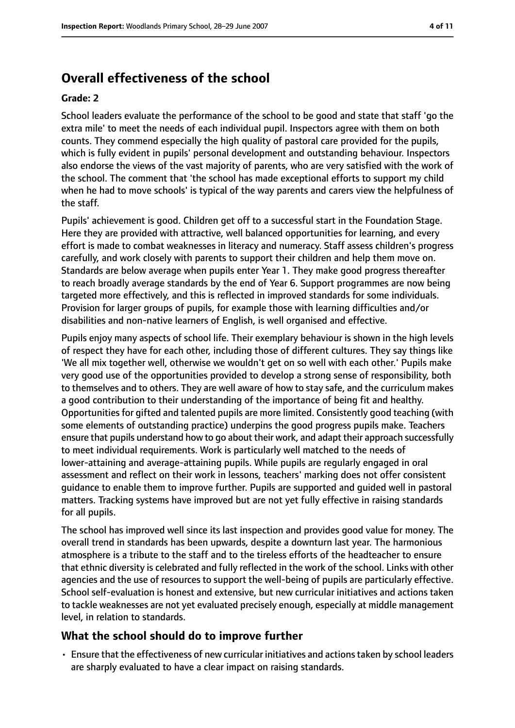# **Overall effectiveness of the school**

#### **Grade: 2**

School leaders evaluate the performance of the school to be good and state that staff 'go the extra mile' to meet the needs of each individual pupil. Inspectors agree with them on both counts. They commend especially the high quality of pastoral care provided for the pupils, which is fully evident in pupils' personal development and outstanding behaviour. Inspectors also endorse the views of the vast majority of parents, who are very satisfied with the work of the school. The comment that 'the school has made exceptional efforts to support my child when he had to move schools' is typical of the way parents and carers view the helpfulness of the staff.

Pupils' achievement is good. Children get off to a successful start in the Foundation Stage. Here they are provided with attractive, well balanced opportunities for learning, and every effort is made to combat weaknesses in literacy and numeracy. Staff assess children's progress carefully, and work closely with parents to support their children and help them move on. Standards are below average when pupils enter Year 1. They make good progress thereafter to reach broadly average standards by the end of Year 6. Support programmes are now being targeted more effectively, and this is reflected in improved standards for some individuals. Provision for larger groups of pupils, for example those with learning difficulties and/or disabilities and non-native learners of English, is well organised and effective.

Pupils enjoy many aspects of school life. Their exemplary behaviour is shown in the high levels of respect they have for each other, including those of different cultures. They say things like 'We all mix together well, otherwise we wouldn't get on so well with each other.' Pupils make very good use of the opportunities provided to develop a strong sense of responsibility, both to themselves and to others. They are well aware of how to stay safe, and the curriculum makes a good contribution to their understanding of the importance of being fit and healthy. Opportunities for gifted and talented pupils are more limited. Consistently good teaching (with some elements of outstanding practice) underpins the good progress pupils make. Teachers ensure that pupils understand how to go about their work, and adapt their approach successfully to meet individual requirements. Work is particularly well matched to the needs of lower-attaining and average-attaining pupils. While pupils are regularly engaged in oral assessment and reflect on their work in lessons, teachers' marking does not offer consistent guidance to enable them to improve further. Pupils are supported and guided well in pastoral matters. Tracking systems have improved but are not yet fully effective in raising standards for all pupils.

The school has improved well since its last inspection and provides good value for money. The overall trend in standards has been upwards, despite a downturn last year. The harmonious atmosphere is a tribute to the staff and to the tireless efforts of the headteacher to ensure that ethnic diversity is celebrated and fully reflected in the work of the school. Links with other agencies and the use of resources to support the well-being of pupils are particularly effective. School self-evaluation is honest and extensive, but new curricular initiatives and actions taken to tackle weaknesses are not yet evaluated precisely enough, especially at middle management level, in relation to standards.

#### **What the school should do to improve further**

• Ensure that the effectiveness of new curricular initiatives and actions taken by school leaders are sharply evaluated to have a clear impact on raising standards.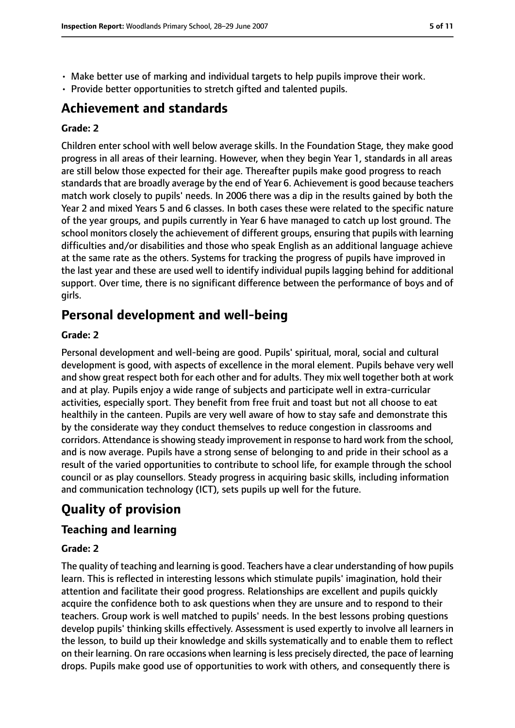- Make better use of marking and individual targets to help pupils improve their work.
- Provide better opportunities to stretch gifted and talented pupils.

# **Achievement and standards**

#### **Grade: 2**

Children enter school with well below average skills. In the Foundation Stage, they make good progress in all areas of their learning. However, when they begin Year 1, standards in all areas are still below those expected for their age. Thereafter pupils make good progress to reach standards that are broadly average by the end of Year 6. Achievement is good because teachers match work closely to pupils' needs. In 2006 there was a dip in the results gained by both the Year 2 and mixed Years 5 and 6 classes. In both cases these were related to the specific nature of the year groups, and pupils currently in Year 6 have managed to catch up lost ground. The school monitors closely the achievement of different groups, ensuring that pupils with learning difficulties and/or disabilities and those who speak English as an additional language achieve at the same rate as the others. Systems for tracking the progress of pupils have improved in the last year and these are used well to identify individual pupils lagging behind for additional support. Over time, there is no significant difference between the performance of boys and of girls.

# **Personal development and well-being**

#### **Grade: 2**

Personal development and well-being are good. Pupils' spiritual, moral, social and cultural development is good, with aspects of excellence in the moral element. Pupils behave very well and show great respect both for each other and for adults. They mix well together both at work and at play. Pupils enjoy a wide range of subjects and participate well in extra-curricular activities, especially sport. They benefit from free fruit and toast but not all choose to eat healthily in the canteen. Pupils are very well aware of how to stay safe and demonstrate this by the considerate way they conduct themselves to reduce congestion in classrooms and corridors. Attendance is showing steady improvement in response to hard work from the school, and is now average. Pupils have a strong sense of belonging to and pride in their school as a result of the varied opportunities to contribute to school life, for example through the school council or as play counsellors. Steady progress in acquiring basic skills, including information and communication technology (ICT), sets pupils up well for the future.

# **Quality of provision**

## **Teaching and learning**

#### **Grade: 2**

The quality of teaching and learning is good. Teachers have a clear understanding of how pupils learn. This is reflected in interesting lessons which stimulate pupils' imagination, hold their attention and facilitate their good progress. Relationships are excellent and pupils quickly acquire the confidence both to ask questions when they are unsure and to respond to their teachers. Group work is well matched to pupils' needs. In the best lessons probing questions develop pupils' thinking skills effectively. Assessment is used expertly to involve all learners in the lesson, to build up their knowledge and skills systematically and to enable them to reflect on their learning. On rare occasions when learning is less precisely directed, the pace of learning drops. Pupils make good use of opportunities to work with others, and consequently there is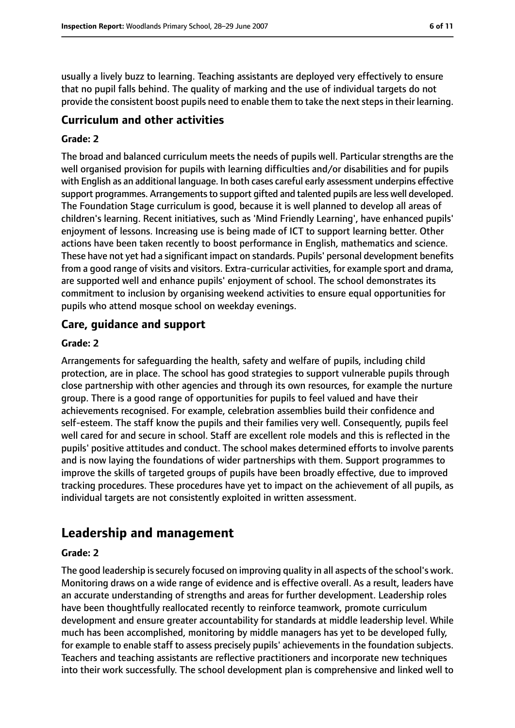usually a lively buzz to learning. Teaching assistants are deployed very effectively to ensure that no pupil falls behind. The quality of marking and the use of individual targets do not provide the consistent boost pupils need to enable them to take the next steps in their learning.

### **Curriculum and other activities**

#### **Grade: 2**

The broad and balanced curriculum meets the needs of pupils well. Particular strengths are the well organised provision for pupils with learning difficulties and/or disabilities and for pupils with English as an additional language. In both cases careful early assessment underpins effective support programmes. Arrangements to support gifted and talented pupils are less well developed. The Foundation Stage curriculum is good, because it is well planned to develop all areas of children's learning. Recent initiatives, such as 'Mind Friendly Learning', have enhanced pupils' enjoyment of lessons. Increasing use is being made of ICT to support learning better. Other actions have been taken recently to boost performance in English, mathematics and science. These have not yet had a significant impact on standards. Pupils' personal development benefits from a good range of visits and visitors. Extra-curricular activities, for example sport and drama, are supported well and enhance pupils' enjoyment of school. The school demonstrates its commitment to inclusion by organising weekend activities to ensure equal opportunities for pupils who attend mosque school on weekday evenings.

#### **Care, guidance and support**

#### **Grade: 2**

Arrangements for safeguarding the health, safety and welfare of pupils, including child protection, are in place. The school has good strategies to support vulnerable pupils through close partnership with other agencies and through its own resources, for example the nurture group. There is a good range of opportunities for pupils to feel valued and have their achievements recognised. For example, celebration assemblies build their confidence and self-esteem. The staff know the pupils and their families very well. Consequently, pupils feel well cared for and secure in school. Staff are excellent role models and this is reflected in the pupils' positive attitudes and conduct. The school makes determined efforts to involve parents and is now laying the foundations of wider partnerships with them. Support programmes to improve the skills of targeted groups of pupils have been broadly effective, due to improved tracking procedures. These procedures have yet to impact on the achievement of all pupils, as individual targets are not consistently exploited in written assessment.

## **Leadership and management**

#### **Grade: 2**

The good leadership is securely focused on improving quality in all aspects of the school's work. Monitoring draws on a wide range of evidence and is effective overall. As a result, leaders have an accurate understanding of strengths and areas for further development. Leadership roles have been thoughtfully reallocated recently to reinforce teamwork, promote curriculum development and ensure greater accountability for standards at middle leadership level. While much has been accomplished, monitoring by middle managers has yet to be developed fully, for example to enable staff to assess precisely pupils' achievements in the foundation subjects. Teachers and teaching assistants are reflective practitioners and incorporate new techniques into their work successfully. The school development plan is comprehensive and linked well to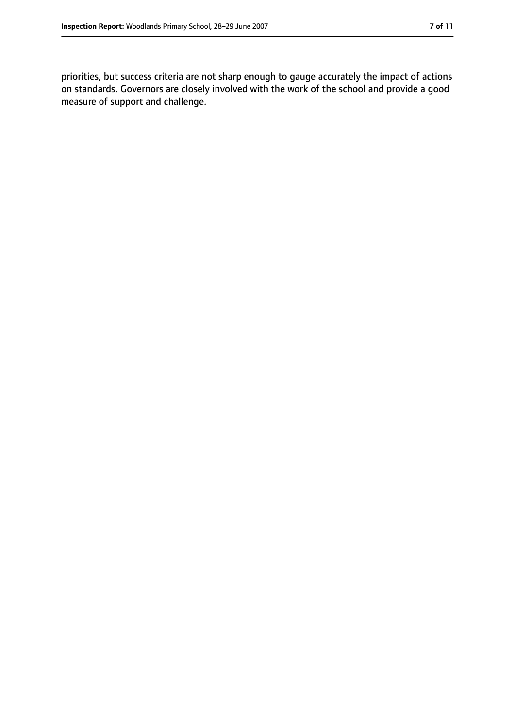priorities, but success criteria are not sharp enough to gauge accurately the impact of actions on standards. Governors are closely involved with the work of the school and provide a good measure of support and challenge.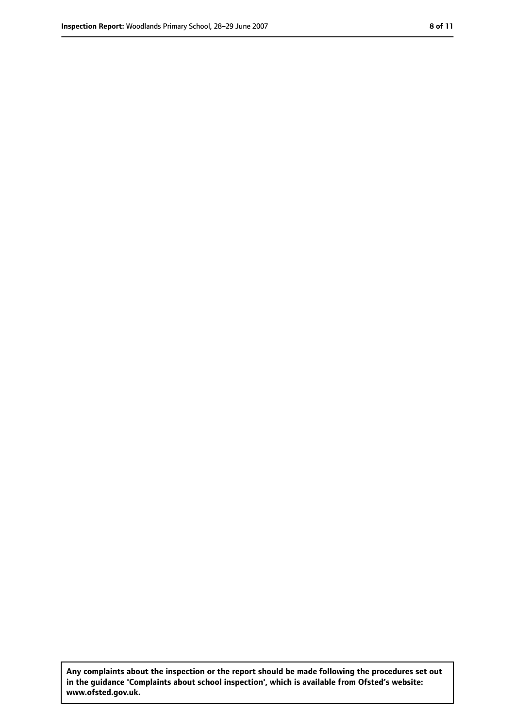**Any complaints about the inspection or the report should be made following the procedures set out in the guidance 'Complaints about school inspection', which is available from Ofsted's website: www.ofsted.gov.uk.**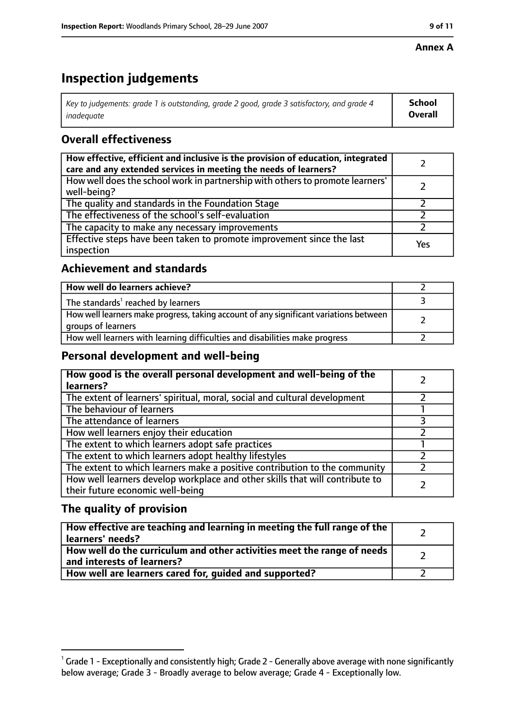#### **Annex A**

# **Inspection judgements**

| Key to judgements: grade 1 is outstanding, grade 2 good, grade 3 satisfactory, and grade 4 $\,$ | <b>School</b>  |
|-------------------------------------------------------------------------------------------------|----------------|
| inadequate                                                                                      | <b>Overall</b> |

## **Overall effectiveness**

| How effective, efficient and inclusive is the provision of education, integrated<br>care and any extended services in meeting the needs of learners? |     |
|------------------------------------------------------------------------------------------------------------------------------------------------------|-----|
| How well does the school work in partnership with others to promote learners'<br>well-being?                                                         |     |
| The quality and standards in the Foundation Stage                                                                                                    |     |
| The effectiveness of the school's self-evaluation                                                                                                    |     |
| The capacity to make any necessary improvements                                                                                                      |     |
| Effective steps have been taken to promote improvement since the last<br>inspection                                                                  | Yes |

## **Achievement and standards**

| How well do learners achieve?                                                                               |  |
|-------------------------------------------------------------------------------------------------------------|--|
| The standards <sup>1</sup> reached by learners                                                              |  |
| How well learners make progress, taking account of any significant variations between<br>groups of learners |  |
| How well learners with learning difficulties and disabilities make progress                                 |  |

## **Personal development and well-being**

| How good is the overall personal development and well-being of the<br>learners?                                  |  |
|------------------------------------------------------------------------------------------------------------------|--|
| The extent of learners' spiritual, moral, social and cultural development                                        |  |
| The behaviour of learners                                                                                        |  |
| The attendance of learners                                                                                       |  |
| How well learners enjoy their education                                                                          |  |
| The extent to which learners adopt safe practices                                                                |  |
| The extent to which learners adopt healthy lifestyles                                                            |  |
| The extent to which learners make a positive contribution to the community                                       |  |
| How well learners develop workplace and other skills that will contribute to<br>their future economic well-being |  |

## **The quality of provision**

| How effective are teaching and learning in meeting the full range of the<br>learners' needs?          |  |
|-------------------------------------------------------------------------------------------------------|--|
| How well do the curriculum and other activities meet the range of needs<br>and interests of learners? |  |
| How well are learners cared for, quided and supported?                                                |  |

 $^1$  Grade 1 - Exceptionally and consistently high; Grade 2 - Generally above average with none significantly below average; Grade 3 - Broadly average to below average; Grade 4 - Exceptionally low.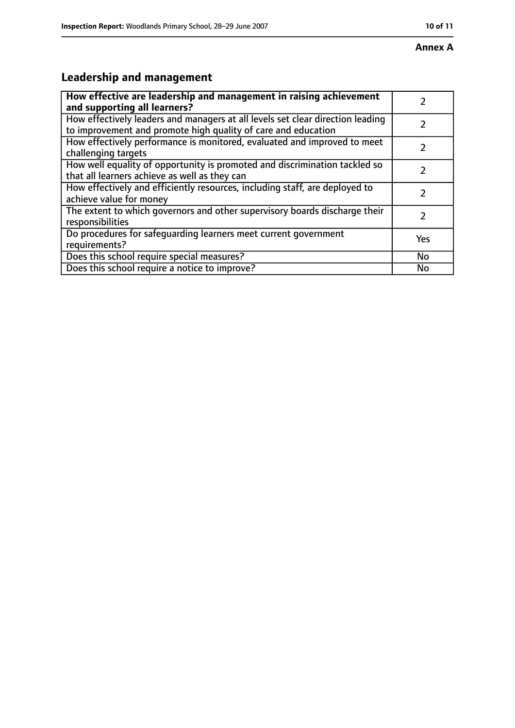# **Leadership and management**

| How effective are leadership and management in raising achievement<br>and supporting all learners?                                              |     |
|-------------------------------------------------------------------------------------------------------------------------------------------------|-----|
| How effectively leaders and managers at all levels set clear direction leading<br>to improvement and promote high quality of care and education |     |
| How effectively performance is monitored, evaluated and improved to meet<br>challenging targets                                                 |     |
| How well equality of opportunity is promoted and discrimination tackled so<br>that all learners achieve as well as they can                     |     |
| How effectively and efficiently resources, including staff, are deployed to<br>achieve value for money                                          | 2   |
| The extent to which governors and other supervisory boards discharge their<br>responsibilities                                                  | 2   |
| Do procedures for safequarding learners meet current government<br>requirements?                                                                | Yes |
| Does this school require special measures?                                                                                                      | No  |
| Does this school require a notice to improve?                                                                                                   | No  |